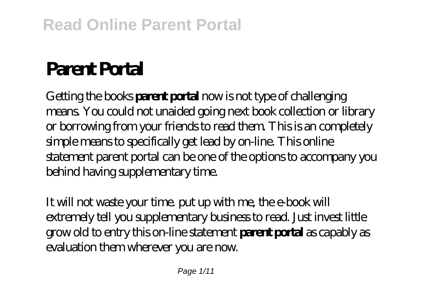# **Parent Portal**

Getting the books **parent portal** now is not type of challenging means. You could not unaided going next book collection or library or borrowing from your friends to read them. This is an completely simple means to specifically get lead by on-line. This online statement parent portal can be one of the options to accompany you behind having supplementary time.

It will not waste your time, put up with me, the e-book will extremely tell you supplementary business to read. Just invest little grow old to entry this on-line statement **parent portal** as capably as evaluation them wherever you are now.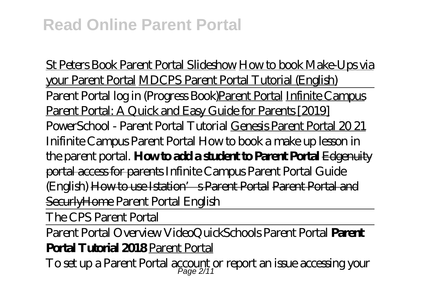St Peters Book Parent Portal Slideshow How to book Make-Ups via your Parent Portal MDCPS Parent Portal Tutorial (English) Parent Portal log in (Progress Book)Parent Portal Infinite Campus Parent Portal: A Quick and Easy Guide for Parents [2019] PowerSchool - Parent Portal Tutorial Genesis Parent Portal 20 21 Inifinite Campus Parent Portal *How to book a make up lesson in the parent portal.* **How to add a student to Parent Portal** Edgenuity portal access for parents *Infinite Campus Parent Portal Guide (English)* How to use Istation's Parent Portal Parent Portal and SecurlyHome *Parent Portal English*

The CPS Parent Portal

Parent Portal Overview Video*QuickSchools Parent Portal* **Parent Portal Tutorial 2018** Parent Portal

 ${\rm To}\, {\rm set}$  up a Parent Portal account or report an issue accessing your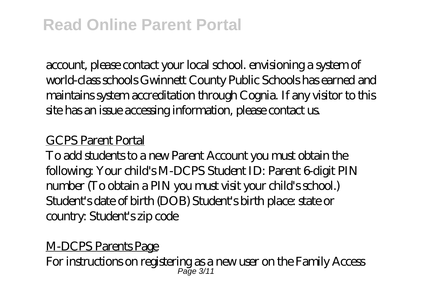account, please contact your local school. envisioning a system of world-class schools Gwinnett County Public Schools has earned and maintains system accreditation through Cognia. If any visitor to this site has an issue accessing information, please contact us.

#### GCPS Parent Portal

To add students to a new Parent Account you must obtain the following: Your child's M-DCPS Student ID: Parent 6-digit PIN number (To obtain a PIN you must visit your child's school.) Student's date of birth (DOB) Student's birth place: state or country: Student's zip code

# M-DCPS Parents Page

For instructions on registering as a new user on the Family Access Page 3/11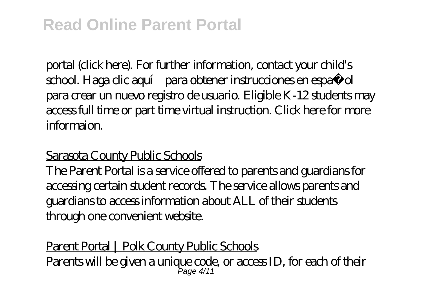portal (click here). For further information, contact your child's school. Haga dic aquí para obtener instrucciones en español para crear un nuevo registro de usuario. Eligible K-12 students may access full time or part time virtual instruction. Click here for more informaion.

## Sarasota County Public Schools

The Parent Portal is a service offered to parents and guardians for accessing certain student records. The service allows parents and guardians to access information about ALL of their students through one convenient website.

Parent Portal | Polk County Public Schools Parents will be given a unique code, or access ID, for each of their Page 4/11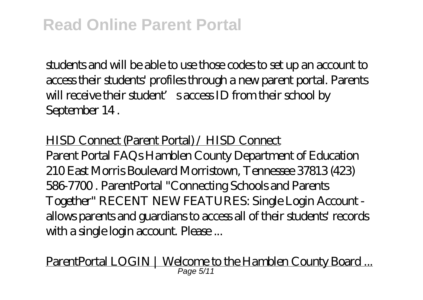students and will be able to use those codes to set up an account to access their students' profiles through a new parent portal. Parents will receive their student' saccess ID from their school by September 14 .

#### HISD Connect (Parent Portal) / HISD Connect

Parent Portal FAQs Hamblen County Department of Education 210 East Morris Boulevard Morristown, Tennessee 37813 (423) 586-7700 . ParentPortal "Connecting Schools and Parents Together" RECENT NEW FEATURES: Single Login Account allows parents and guardians to access all of their students' records with a single login account. Please ...

ParentPortal LOGIN | Welcome to the Hamblen County Board ... Page 5/11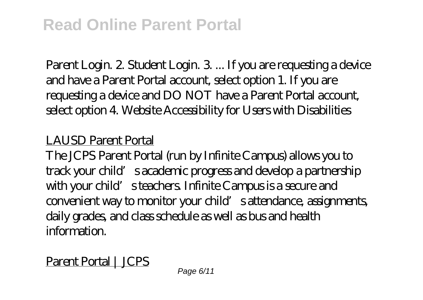Parent Login. 2. Student Login. 3. ... If you are requesting a device and have a Parent Portal account, select option 1. If you are requesting a device and DO NOT have a Parent Portal account, select option 4. Website Accessibility for Users with Disabilities

## LAUSD Parent Portal

The JCPS Parent Portal (run by Infinite Campus) allows you to track your child's academic progress and develop a partnership with your child's teachers. Infinite Campus is a secure and convenient way to monitor your child's attendance, assignments, daily grades, and class schedule as well as bus and health information.

# Parent Portal | JCPS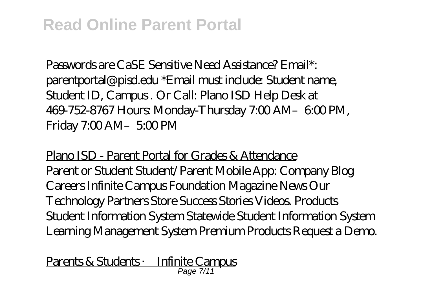Passwords are CaSE Sensitive Need Assistance? Email\*: parentportal@pisd.edu \*Email must include: Student name, Student ID, Campus . Or Call: Plano ISD Help Desk at 469-752-8767 Hours: Monday-Thursday 7:00 AM–6:00 PM, Friday 7:00 AM-5:00 PM

Plano ISD - Parent Portal for Grades & Attendance Parent or Student Student/Parent Mobile App: Company Blog Careers Infinite Campus Foundation Magazine News Our Technology Partners Store Success Stories Videos. Products Student Information System Statewide Student Information System Learning Management System Premium Products Request a Demo.

Parents & Students · Infinite Campus Page 7/11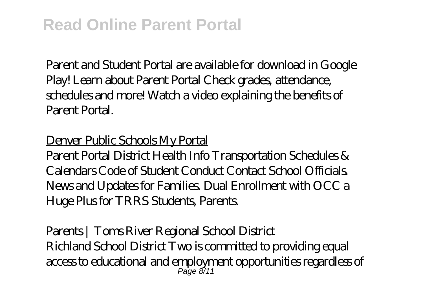Parent and Student Portal are available for download in Google Play! Learn about Parent Portal Check grades, attendance, schedules and more! Watch a video explaining the benefits of Parent Portal.

## Denver Public Schools My Portal

Parent Portal District Health Info Transportation Schedules & Calendars Code of Student Conduct Contact School Officials. News and Updates for Families. Dual Enrollment with OCC a Huge Plus for TRRS Students, Parents.

Parents | Toms River Regional School District Richland School District Two is committed to providing equal access to educational and employment opportunities regardless of Page 8/11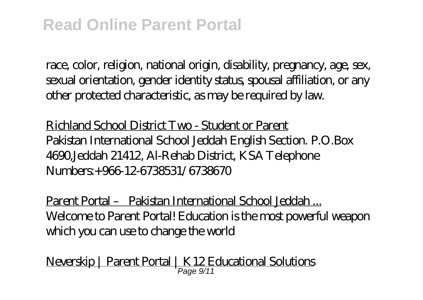race, color, religion, national origin, disability, pregnancy, age, sex, sexual orientation, gender identity status, spousal affiliation, or any other protected characteristic, as may be required by law.

Richland School District Two - Student or Parent Pakistan International School Jeddah English Section. P.O.Box 4690,Jeddah 21412, Al-Rehab District, KSA Telephone Numbers:+966-12-6738531/6738670

Parent Portal – Pakistan International School Jeddah ... Welcome to Parent Portal! Education is the most powerful weapon which you can use to change the world

Neverskip | Parent Portal | K12 Educational Solutions Page 9/11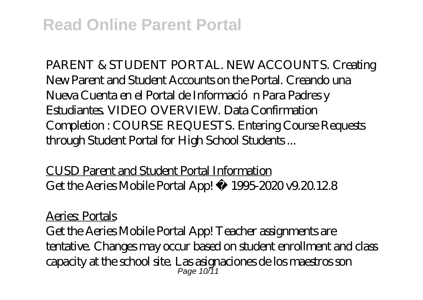PARENT & STUDENT PORTAL. NEW ACCOUNTS. Creating New Parent and Student Accounts on the Portal. Creando una Nueva Cuenta en el Portal de Informació n Para Padres y Estudiantes. VIDEO OVERVIEW. Data Confirmation Completion : COURSE REQUESTS. Entering Course Requests through Student Portal for High School Students ...

CUSD Parent and Student Portal Information Get the Aeries Mobile Portal App! © 1995-2020 v9.20.12.8

Aeries: Portals

Get the Aeries Mobile Portal App! Teacher assignments are tentative. Changes may occur based on student enrollment and class capacity at the school site. Las asignaciones de los maestros son Page 10/11